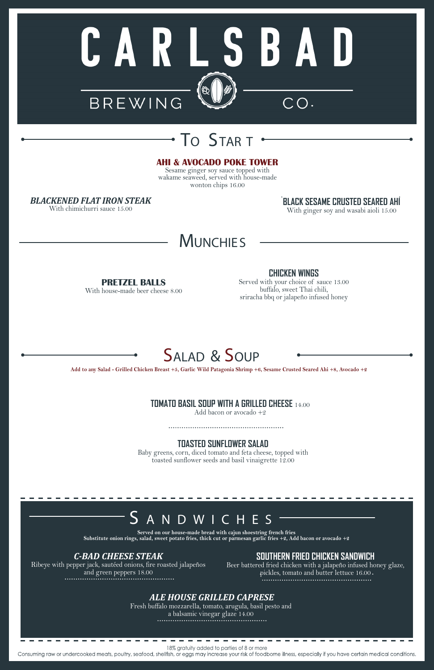

# TO STAR <sup>T</sup>

#### **AHI & AVOCADO POKE TOWER**

Sesame ginger soy sauce topped with wakame seaweed, served with house-made wonton chips 16.00

*BLACKENED FLAT IRON STEAK* 

With chimichurri sauce 15.00

# **MUNCHIES**

#### *C-BAD CHEESE STEAK*

Ribeye with pepper jack, sautéed onions, fire roasted jalapeños and green peppers 18.00

# **SOUTHERN FRIED CHICKEN SANDWICH**

Beer battered fried chicken with a jalapeño infused honey glaze, pickles, tomato and butter lettuce 16.00

### *ALE HOUSE GRILLED CAPRESE*

Fresh buffalo mozzarella, tomato, arugula, basil pesto and a balsamic vinegar glaze 14.00 

# SALAD & SOUP

# **TOMATO BASIL SOUP WITH A GRILLED CHEESE** 14.00

Add bacon or avocado +2

**TOASTED SUNFLOWER SALAD**

Baby greens, corn, diced tomato and feta cheese, topped with toasted sunflower seeds and basil vinaigrette 12.00

# N D W I C H E S

**Add to any Salad - Grilled Chicken Breast +5, Garlic Wild Patagonia Shrimp +6, Sesame Crusted Seared Ahi +8, Avocado +2**

**Served on our house-made bread with cajun shoestring french fries Substitute onion rings, salad, sweet potato fries, thick cut or parmesan garlic fries +2, Add bacon or avocado +2**

**PRETZEL BALLS**

With house-made beer cheese 8.00

### **CHICKEN WINGS**

Served with your choice of sauce 13.00 buffalo, sweet Thai chili, sriracha bbq or jalapeño infused honey

18% gratuity added to parties of 8 or more

Consuming raw or undercooked meats, poultry, seafood, shellfish, or eggs may increase your risk of foodborne illness, especially if you have certain medical conditions.

**BLACK SESAME CRUSTED SEARED AHI**  With ginger soy and wasabi aioli 15.00